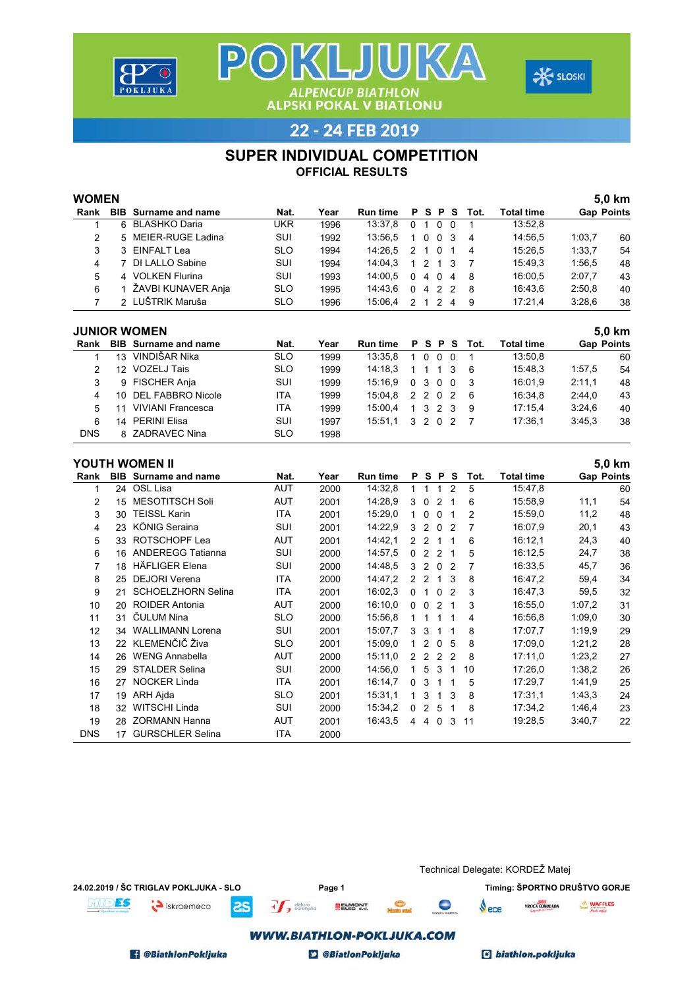





#### SUPER INDIVIDUAL COMPETITION

| <b>WOMEN</b>                                         |                 |                          |            |      |                 |                |               |                |                |      |                   |                   | 5,0 km |
|------------------------------------------------------|-----------------|--------------------------|------------|------|-----------------|----------------|---------------|----------------|----------------|------|-------------------|-------------------|--------|
| Rank                                                 | <b>BIB</b>      | Surname and name         | Nat.       | Year | <b>Run time</b> | P              | S.            | <b>P</b>       | s              | Tot. | <b>Total time</b> | <b>Gap Points</b> |        |
|                                                      |                 | 6 BLASHKO Daria          | <b>UKR</b> | 1996 | 13:37,8         | 0              | 1             | $\mathbf 0$    | $\Omega$       |      | 13:52,8           |                   |        |
| 2                                                    |                 | 5 MEIER-RUGE Ladina      | <b>SUI</b> | 1992 | 13:56,5         | 1              | $\Omega$      | $\mathbf{0}$   | 3              | 4    | 14:56,5           | 1:03,7            | 60     |
| 3                                                    |                 | 3 EINFALT Lea            | <b>SLO</b> | 1994 | 14:26,5         | $\mathcal{P}$  | 1             | $\Omega$       |                | 4    | 15:26.5           | 1:33.7            | 54     |
| 4                                                    |                 | 7 DI LALLO Sabine        | <b>SUI</b> | 1994 | 14:04,3         |                | 2             | 1              | 3              |      | 15:49.3           | 1:56.5            | 48     |
| 5                                                    |                 | 4 VOLKEN Flurina         | <b>SUI</b> | 1993 | 14:00,5         | 0              | 4             | 0              | 4              | 8    | 16:00,5           | 2:07,7            | 43     |
| 6                                                    |                 | 1 ŽAVBI KUNAVER Anja     | <b>SLO</b> | 1995 | 14:43,6         | 0              | 4             | 2              | $\overline{2}$ | 8    | 16:43.6           | 2:50.8            | 40     |
| 7                                                    |                 | 2 LUŠTRIK Maruša         | SLO        | 1996 | 15:06,4         | $\overline{2}$ | $\mathbf{1}$  | 2 4            |                | 9    | 17:21,4           | 3:28,6            | 38     |
| Rank                                                 | <b>BIB</b>      | Surname and name         | Nat.       | Year | <b>Run time</b> | P              | s             | P              | s              | Tot. | Total time        | <b>Gap Points</b> |        |
|                                                      |                 | <b>JUNIOR WOMEN</b>      |            |      |                 |                |               |                |                |      |                   |                   | 5,0 km |
|                                                      | 13              | VINDIŠAR Nika            | <b>SLO</b> | 1999 | 13:35,8         | 1              | $\Omega$      | 0              | $\Omega$       |      | 13:50,8           |                   | 60     |
| 2                                                    | 12 <sup>2</sup> | <b>VOZELJ Tais</b>       | <b>SLO</b> | 1999 | 14:18,3         |                |               | 1              | 3              | 6    | 15:48.3           | 1:57,5            | 54     |
| 3                                                    | 9               | <b>FISCHER Anja</b>      | <b>SUI</b> | 1999 | 15:16,9         | $\mathbf{0}$   | 3             | $\mathbf{0}$   | $\Omega$       | 3    | 16:01,9           | 2:11,1            | 48     |
| 4                                                    | 10              | <b>DEL FABBRO Nicole</b> | <b>ITA</b> | 1999 | 15:04,8         | 2              | $\mathcal{P}$ | $\mathbf{0}$   | -2             | 6    | 16:34,8           | 2:44.0            | 43     |
| 5                                                    | 11              | <b>VIVIANI Francesca</b> | <b>ITA</b> | 1999 | 15:00,4         | 1              | 3             | $\mathcal{P}$  | 3              | 9    | 17:15,4           | 3:24,6            | 40     |
| 6                                                    |                 |                          | <b>SUI</b> | 1997 | 15:51,1         | 3              | 2             | 0 <sub>2</sub> |                | 7    | 17:36,1           | 3:45.3            | 38     |
| <b>DNS</b>                                           |                 |                          | <b>SLO</b> | 1998 |                 |                |               |                |                |      |                   |                   |        |
| 14 PERINI Elisa<br>8 ZADRAVEC Nina<br>YOUTH WOMEN II |                 |                          |            |      |                 |                |               |                |                |      |                   |                   | 5,0 km |

|            |            | TUU I FI YYUWEN II        |            |      |                 |   |               |                |                |      |            |                   | ่ว,บ หm |
|------------|------------|---------------------------|------------|------|-----------------|---|---------------|----------------|----------------|------|------------|-------------------|---------|
| Rank       | <b>BIB</b> | Surname and name          | Nat.       | Year | <b>Run time</b> | P | s             | P              | S              | Tot. | Total time | <b>Gap Points</b> |         |
|            | 24         | OSL Lisa                  | <b>AUT</b> | 2000 | 14:32,8         |   |               |                | 2              | 5    | 15:47,8    |                   | 60      |
| 2          | 15         | MESOTITSCH Soli           | <b>AUT</b> | 2001 | 14:28.9         | 3 | 0             | 2              | - 1            | 6    | 15:58,9    | 11,1              | 54      |
| 3          | 30         | <b>TEISSL Karin</b>       | <b>ITA</b> | 2001 | 15:29,0         | 1 | $\Omega$      | $\Omega$       | -1             | 2    | 15:59,0    | 11,2              | 48      |
| 4          | 23         | KÖNIG Seraina             | <b>SUI</b> | 2001 | 14:22,9         | 3 | 2             | $\Omega$       | $\overline{2}$ |      | 16:07,9    | 20,1              | 43      |
| 5          | 33         | ROTSCHOPF Lea             | AUT        | 2001 | 14:42,1         | 2 | $\mathcal{P}$ | 1              |                | 6    | 16:12,1    | 24,3              | 40      |
| 6          | 16         | <b>ANDEREGG Tatianna</b>  | SUI        | 2000 | 14:57,5         | 0 | 2             | 2              | - 1            | 5    | 16:12.5    | 24,7              | 38      |
| 7          | 18         | <b>HÄFLIGER Elena</b>     | SUI        | 2000 | 14:48,5         | 3 | 2             | 0 <sub>2</sub> |                |      | 16:33,5    | 45,7              | 36      |
| 8          | 25         | <b>DEJORI Verena</b>      | ITA        | 2000 | 14:47,2         | 2 | 2             | 1              | 3              | 8    | 16:47.2    | 59,4              | 34      |
| 9          | 21         | <b>SCHOELZHORN Selina</b> | <b>ITA</b> | 2001 | 16:02.3         | 0 | 1             | $\Omega$       | 2              | 3    | 16:47,3    | 59,5              | 32      |
| 10         | 20         | <b>ROIDER Antonia</b>     | <b>AUT</b> | 2000 | 16:10,0         | 0 | $\Omega$      | 2              | - 1            | 3    | 16:55,0    | 1:07,2            | 31      |
| 11         | 31         | ČULUM Nina                | <b>SLO</b> | 2000 | 15:56,8         |   |               | 1              | 1              | 4    | 16:56.8    | 1:09.0            | 30      |
| 12         | 34         | <b>WALLIMANN Lorena</b>   | <b>SUI</b> | 2001 | 15:07.7         | 3 | 3             | 1              |                | 8    | 17:07,7    | 1:19.9            | 29      |
| 13         |            | 22 KLEMENČIČ Živa         | <b>SLO</b> | 2001 | 15:09,0         |   | $\mathcal{P}$ | $\mathbf{0}$   | -5             | 8    | 17:09,0    | 1:21,2            | 28      |
| 14         | 26         | <b>WENG Annabella</b>     | <b>AUT</b> | 2000 | 15:11,0         | 2 | 2             | 2              | $\overline{2}$ | 8    | 17:11,0    | 1:23,2            | 27      |
| 15         | 29         | <b>STALDER Selina</b>     | <b>SUI</b> | 2000 | 14:56,0         | 1 | 5             | 3              | 1              | 10   | 17:26,0    | 1:38,2            | 26      |
| 16         | 27         | <b>NOCKER Linda</b>       | ITA        | 2001 | 16:14,7         | 0 | 3             |                |                | 5    | 17:29,7    | 1:41,9            | 25      |
| 17         | 19         | ARH Aida                  | <b>SLO</b> | 2001 | 15:31,1         |   | 3             | 1              | 3              | 8    | 17:31,1    | 1:43,3            | 24      |
| 18         | 32         | WITSCHI Linda             | SUI        | 2000 | 15:34,2         | 0 | $\mathcal{P}$ | 5              | 1              | 8    | 17:34,2    | 1:46,4            | 23      |
| 19         |            | 28 ZORMANN Hanna          | <b>AUT</b> | 2001 | 16:43.5         | 4 | 4             | 0              | 3              | 11   | 19:28,5    | 3:40.7            | 22      |
| <b>DNS</b> | 17         | <b>GURSCHLER Selina</b>   | <b>ITA</b> | 2000 |                 |   |               |                |                |      |            |                   |         |

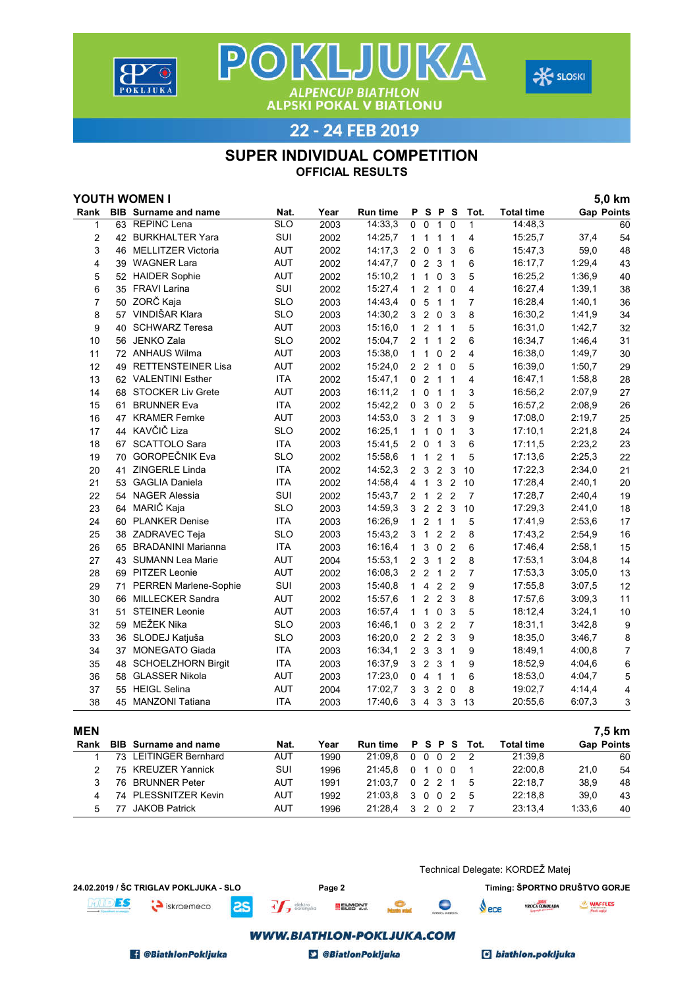





#### SUPER INDIVIDUAL COMPETITION

OFFICIAL RESULTS

|                |    | YOUTH WOMEN I               |            |      |                 |                |                |                           |                |                |                   |                   | 5,0 km           |
|----------------|----|-----------------------------|------------|------|-----------------|----------------|----------------|---------------------------|----------------|----------------|-------------------|-------------------|------------------|
| Rank           |    | <b>BIB</b> Surname and name | Nat.       | Year | <b>Run time</b> | P              |                | S P                       | S              | Tot.           | <b>Total time</b> | <b>Gap Points</b> |                  |
| $\mathbf{1}$   |    | 63 REPINC Lena              | <b>SLO</b> | 2003 | 14:33,3         | 0              | $\mathbf 0$    | $\mathbf{1}$              | $\mathbf 0$    | $\mathbf{1}$   | 14:48,3           |                   | 60               |
| 2              |    | 42 BURKHALTER Yara          | SUI        | 2002 | 14:25,7         | $\mathbf{1}$   | 1              | 1                         | $\overline{1}$ | 4              | 15:25,7           | 37,4              | 54               |
| 3              | 46 | <b>MELLITZER Victoria</b>   | AUT        | 2002 | 14:17,3         | 2              | $\mathbf 0$    | $\mathbf{1}$              | 3              | 6              | 15:47.3           | 59,0              | 48               |
| 4              |    | 39 WAGNER Lara              | <b>AUT</b> | 2002 | 14:47,7         | 0              | $\overline{2}$ | 3                         | $\overline{1}$ | 6              | 16:17.7           | 1:29,4            | 43               |
| 5              |    | 52 HAIDER Sophie            | AUT        | 2002 | 15:10,2         | 1              | $\overline{1}$ | $\mathbf 0$               | 3              | 5              | 16:25,2           | 1:36,9            | 40               |
| 6              |    | 35 FRAVI Larina             | SUI        | 2002 | 15:27,4         | $\mathbf{1}$   | $\overline{2}$ | $\mathbf{1}$              | $\mathbf 0$    | 4              | 16:27,4           | 1:39,1            | 38               |
| $\overline{7}$ |    | 50 ZORČ Kaja                | <b>SLO</b> | 2003 | 14:43,4         | 0              | 5              |                           | 1 <sub>1</sub> | $\overline{7}$ | 16:28,4           | 1:40,1            | 36               |
| 8              |    | 57 VINDIŠAR Klara           | <b>SLO</b> | 2003 | 14:30,2         | 3              | $\overline{2}$ | 0                         | -3             | 8              | 16:30,2           | 1:41,9            | 34               |
| 9              |    | 40 SCHWARZ Teresa           | <b>AUT</b> | 2003 | 15:16,0         | $\mathbf{1}$   | $\overline{2}$ |                           | $1\quad1$      | 5              | 16:31,0           | 1:42,7            | 32               |
| 10             |    | 56 JENKO Zala               | <b>SLO</b> | 2002 | 15:04,7         | $\overline{2}$ | $\mathbf{1}$   | $\mathbf{1}$              | $\overline{2}$ | 6              | 16:34,7           | 1:46,4            | 31               |
| 11             |    | 72 ANHAUS Wilma             | AUT        | 2003 | 15:38,0         | $\mathbf{1}$   | $\mathbf{1}$   | 0                         | $\overline{2}$ | $\overline{4}$ | 16:38,0           | 1:49,7            | 30               |
| 12             | 49 | <b>RETTENSTEINER Lisa</b>   | <b>AUT</b> | 2002 | 15:24,0         | $\overline{2}$ | $\overline{2}$ | $\mathbf{1}$              | $\Omega$       | 5              | 16:39,0           | 1:50,7            | 29               |
| 13             |    | 62 VALENTINI Esther         | <b>ITA</b> | 2002 | 15:47,1         | 0              | $\overline{2}$ | $\mathbf{1}$              | $\overline{1}$ | 4              | 16:47.1           | 1:58.8            | 28               |
| 14             |    | 68 STOCKER Liv Grete        | AUT        | 2003 | 16:11,2         | $\mathbf{1}$   | $\pmb{0}$      |                           | 1 <sub>1</sub> | 3              | 16:56,2           | 2:07,9            | 27               |
| 15             |    | 61 BRUNNER Eva              | <b>ITA</b> | 2002 | 15:42,2         | 0              | 3              | 0                         | $\overline{2}$ | 5              | 16:57,2           | 2:08,9            | 26               |
| 16             |    | 47 KRAMER Femke             | AUT        | 2003 | 14:53,0         | 3              | $\overline{2}$ |                           | 1 <sub>3</sub> | 9              | 17:08,0           | 2:19,7            | 25               |
| 17             |    | 44 KAVČIČ Liza              | <b>SLO</b> | 2002 | 16:25,1         | $\mathbf{1}$   | $\mathbf{1}$   | 0                         | $\overline{1}$ | 3              | 17:10,1           | 2:21,8            | 24               |
| 18             |    | 67 SCATTOLO Sara            | <b>ITA</b> | 2003 | 15:41,5         | $\overline{2}$ | 0              | $\mathbf{1}$              | 3              | 6              | 17:11.5           | 2:23,2            | 23               |
| 19             | 70 | GOROPEČNIK Eva              | <b>SLO</b> | 2002 | 15:58,6         | $\mathbf{1}$   | $\mathbf{1}$   | $\overline{c}$            | $\overline{1}$ | 5              | 17:13,6           | 2:25,3            | 22               |
| 20             | 41 | ZINGERLE Linda              | <b>ITA</b> | 2002 | 14:52,3         |                | 2 <sub>3</sub> | $\overline{c}$            | $\mathbf{3}$   | 10             | 17:22,3           | 2:34,0            | 21               |
| 21             |    | 53 GAGLIA Daniela           | <b>ITA</b> | 2002 | 14:58,4         |                | 4 <sub>1</sub> | 3                         | $\overline{2}$ | 10             | 17:28,4           | 2:40,1            | 20               |
| 22             |    | 54 NAGER Alessia            | SUI        | 2002 | 15:43,7         | $\overline{2}$ | $\overline{1}$ | $\boldsymbol{2}$          | $\overline{2}$ | $\overline{7}$ | 17:28,7           | 2:40,4            | 19               |
| 23             |    | 64 MARIČ Kaja               | <b>SLO</b> | 2003 | 14:59,3         | 3              | $\overline{2}$ | $\overline{c}$            | 3              | 10             | 17:29,3           | 2:41,0            | 18               |
| 24             |    | 60 PLANKER Denise           | <b>ITA</b> | 2003 | 16:26,9         | $\mathbf{1}$   | $\overline{2}$ | $\mathbf{1}$              | $\overline{1}$ | 5              | 17:41,9           | 2:53,6            | 17               |
| 25             |    | 38 ZADRAVEC Teja            | <b>SLO</b> | 2003 | 15:43,2         | 3              | $\overline{1}$ |                           | 2 <sub>2</sub> | 8              | 17:43,2           | 2:54,9            | 16               |
| 26             |    | 65 BRADANINI Marianna       | <b>ITA</b> | 2003 | 16:16,4         | $\mathbf{1}$   | 3              | $\mathbf 0$               | $\overline{2}$ | 6              | 17:46,4           | 2:58,1            | 15               |
| 27             |    | 43 SUMANN Lea Marie         | <b>AUT</b> | 2004 | 15:53,1         | $\overline{2}$ | 3              | $\mathbf{1}$              | $\overline{2}$ | 8              | 17:53,1           | 3:04,8            | 14               |
| 28             |    | 69 PITZER Leonie            | AUT        | 2002 | 16:08,3         |                | 2 <sub>2</sub> |                           | 1 <sub>2</sub> | $\overline{7}$ | 17:53,3           | 3:05,0            | 13               |
| 29             |    | 71 PERREN Marlene-Sophie    | SUI        | 2003 | 15:40,8         | $\mathbf{1}$   | $\overline{4}$ |                           | 2 <sub>2</sub> | 9              | 17:55,8           | 3:07,5            | 12               |
| 30             | 66 | <b>MILLECKER Sandra</b>     | <b>AUT</b> | 2002 | 15:57,6         | 1              | $\overline{2}$ |                           | 2 <sub>3</sub> | 8              | 17:57,6           | 3:09,3            | 11               |
| 31             | 51 | <b>STEINER Leonie</b>       | <b>AUT</b> | 2003 | 16:57,4         | $\mathbf{1}$   | $\mathbf{1}$   | $\mathbf 0$               | $\mathbf{3}$   | 5              | 18:12,4           | 3:24,1            | 10               |
| 32             | 59 | MEŽEK Nika                  | <b>SLO</b> | 2003 | 16:46,1         | 0              | 3              |                           | 2 <sub>2</sub> | $\overline{7}$ | 18:31,1           | 3:42,8            | $\boldsymbol{9}$ |
| 33             |    | 36 SLODEJ Katjuša           | <b>SLO</b> | 2003 | 16:20,0         |                | 2 <sub>2</sub> |                           | 2 <sub>3</sub> | 9              | 18:35,0           | 3:46,7            | 8                |
| 34             |    | 37 MONEGATO Giada           | <b>ITA</b> | 2003 | 16:34,1         | $\overline{2}$ | $\mathbf{3}$   | $\ensuremath{\mathsf{3}}$ | $\overline{1}$ | 9              | 18:49,1           | 4:00,8            | 7                |
| 35             |    | 48 SCHOELZHORN Birgit       | <b>ITA</b> | 2003 | 16:37,9         | 3              | $\overline{c}$ | 3                         | $\overline{1}$ | 9              | 18:52,9           | 4:04.6            | 6                |
| 36             | 58 | <b>GLASSER Nikola</b>       | <b>AUT</b> | 2003 | 17:23,0         | $\mathbf 0$    | $\overline{4}$ | 1                         | $\overline{1}$ | 6              | 18:53,0           | 4:04,7            | 5                |
| 37             | 55 | <b>HEIGL Selina</b>         | AUT        | 2004 | 17:02,7         | 3              | 3              | $\overline{c}$            | $\mathbf 0$    | 8              | 19:02,7           | 4:14,4            | 4                |
| 38             |    | 45 MANZONI Tatiana          | <b>ITA</b> | 2003 | 17:40,6         | 3              | $\overline{4}$ | 3                         | 3              | 13             | 20:55,6           | 6:07,3            | 3                |
|                |    |                             |            |      |                 |                |                |                           |                |                |                   |                   |                  |

| <b>MEN</b> |                             |            |      |                 |              |                |           |      |            |        | 7.5 km            |
|------------|-----------------------------|------------|------|-----------------|--------------|----------------|-----------|------|------------|--------|-------------------|
| Rank       | <b>BIB</b> Surname and name | Nat.       | Year | <b>Run time</b> |              |                | P S P S   | Tot. | Total time |        | <b>Gap Points</b> |
|            | 73 LEITINGER Bernhard       | <b>AUT</b> | 1990 | 21:09.8         | 0            |                | 0 0 2 2   |      | 21:39.8    |        | 60                |
|            | 75 KREUZER Yannick          | SUI        | 1996 | 21:45.8         | <sup>0</sup> | 0 <sub>0</sub> |           |      | 22:00.8    | 21.0   | 54                |
|            | 76 BRUNNER Peter            | AUT        | 1991 | 21:03.7         |              |                | 0 2 2 1 5 |      | 22:18.7    | 38.9   | 48                |
|            | 74 PLESSNITZER Kevin        | AUT        | 1992 | 21:03.8         |              |                | 3 0 0 2 5 |      | 22:18.8    | 39.0   | 43                |
|            | <b>JAKOB Patrick</b>        | <b>AUT</b> | 1996 | 21:28.4         |              | 3 2 0 2        |           |      | 23:13.4    | 1:33.6 | 40                |

24.02.2019 / ŠC TRIGLAV POKLJUKA - SLO Page 2 Page 2 Timing: ŠPORTNO DRUŠTVO GORJE

iskroemeco **as** 

<sup>elektro</sup> sorenjsko

Technical Delegate: KORDEŽ Matej

 $\sqrt{\phantom{0}}$ ece  $\bullet$ 



#### **WWW.BIATHLON-POKLJUKA.COM**

**ELMONT** 

**BiathlonPokljuka** 

**MIDES** 

**D** @BiatlonPokljuka

c biathlon.pokljuka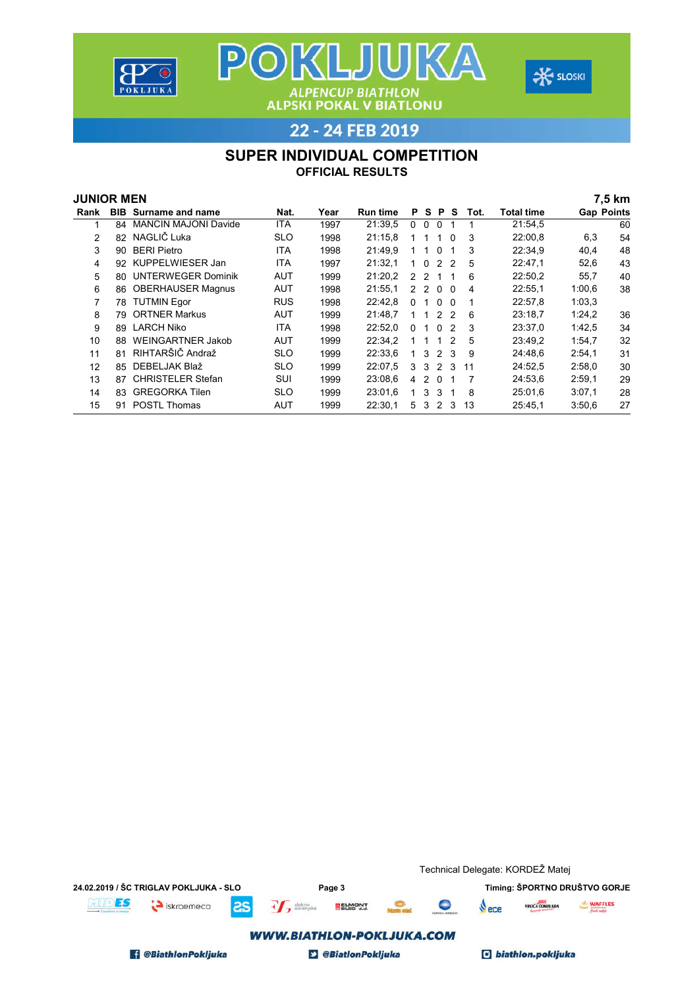





#### SUPER INDIVIDUAL COMPETITION

| <b>JUNIOR MEN</b> |    |                             |            |      |                 |               |                |                |                |      |            |                   | 7,5 km |
|-------------------|----|-----------------------------|------------|------|-----------------|---------------|----------------|----------------|----------------|------|------------|-------------------|--------|
| Rank              |    | <b>BIB</b> Surname and name | Nat.       | Year | <b>Run time</b> |               | <b>PS</b>      | <b>P</b>       | S.             | Tot. | Total time | <b>Gap Points</b> |        |
| 1                 | 84 | <b>MANCIN MAJONI Davide</b> | <b>ITA</b> | 1997 | 21:39.5         | $\mathbf{0}$  | $\Omega$       | $\Omega$       | -1             |      | 21:54,5    |                   | 60     |
| 2                 | 82 | NAGLIČ Luka                 | <b>SLO</b> | 1998 | 21:15.8         |               |                | 1              | $\Omega$       | 3    | 22:00.8    | 6,3               | 54     |
| 3                 | 90 | <b>BERI Pietro</b>          | ITA        | 1998 | 21:49.9         |               |                | $\Omega$       |                | 3    | 22:34,9    | 40,4              | 48     |
| 4                 | 92 | KUPPELWIESER Jan            | <b>ITA</b> | 1997 | 21:32.1         |               | $\Omega$       | 2 <sub>2</sub> |                | 5    | 22:47,1    | 52,6              | 43     |
| 5                 | 80 | <b>UNTERWEGER Dominik</b>   | <b>AUT</b> | 1999 | 21:20,2         | $\mathcal{P}$ | $\overline{2}$ | -1             |                | 6    | 22:50,2    | 55,7              | 40     |
| 6                 | 86 | <b>OBERHAUSER Magnus</b>    | <b>AUT</b> | 1998 | 21:55.1         | $\mathcal{P}$ | $\mathcal{P}$  | $\Omega$       | $\overline{0}$ | 4    | 22:55.1    | 1:00.6            | 38     |
| 7                 | 78 | <b>TUTMIN Egor</b>          | <b>RUS</b> | 1998 | 22:42.8         | 0             |                | $\Omega$       | - 0            |      | 22:57.8    | 1:03,3            |        |
| 8                 | 79 | <b>ORTNER Markus</b>        | AUT        | 1999 | 21:48.7         |               |                | $\mathcal{P}$  | $\overline{2}$ | 6    | 23:18,7    | 1:24,2            | 36     |
| 9                 | 89 | <b>LARCH Niko</b>           | ITA        | 1998 | 22:52.0         | $\Omega$      |                | $\Omega$       | 2              | 3    | 23:37.0    | 1:42,5            | 34     |
| 10                | 88 | <b>WEINGARTNER Jakob</b>    | <b>AUT</b> | 1999 | 22:34.2         |               |                | 1              | $\overline{2}$ | 5    | 23:49,2    | 1:54,7            | 32     |
| 11                | 81 | RIHTARŠIČ Andraž            | <b>SLO</b> | 1999 | 22:33,6         |               | 3              | $\mathcal{L}$  | -3             | 9    | 24:48.6    | 2:54,1            | 31     |
| 12                | 85 | DEBELJAK Blaž               | <b>SLO</b> | 1999 | 22:07.5         | 3             | 3              | $\mathcal{P}$  | 3              | 11   | 24:52.5    | 2:58.0            | 30     |
| 13                | 87 | <b>CHRISTELER Stefan</b>    | SUI        | 1999 | 23:08.6         | 4             | $\mathcal{P}$  | $\overline{0}$ |                |      | 24:53.6    | 2:59.1            | 29     |
| 14                | 83 | <b>GREGORKA Tilen</b>       | <b>SLO</b> | 1999 | 23:01.6         |               | 3              | 3              |                | 8    | 25:01.6    | 3:07,1            | 28     |
| 15                | 91 | <b>POSTL Thomas</b>         | <b>AUT</b> | 1999 | 22:30.1         | 5             | 3              | 2 3            |                | 13   | 25:45.1    | 3:50.6            | 27     |

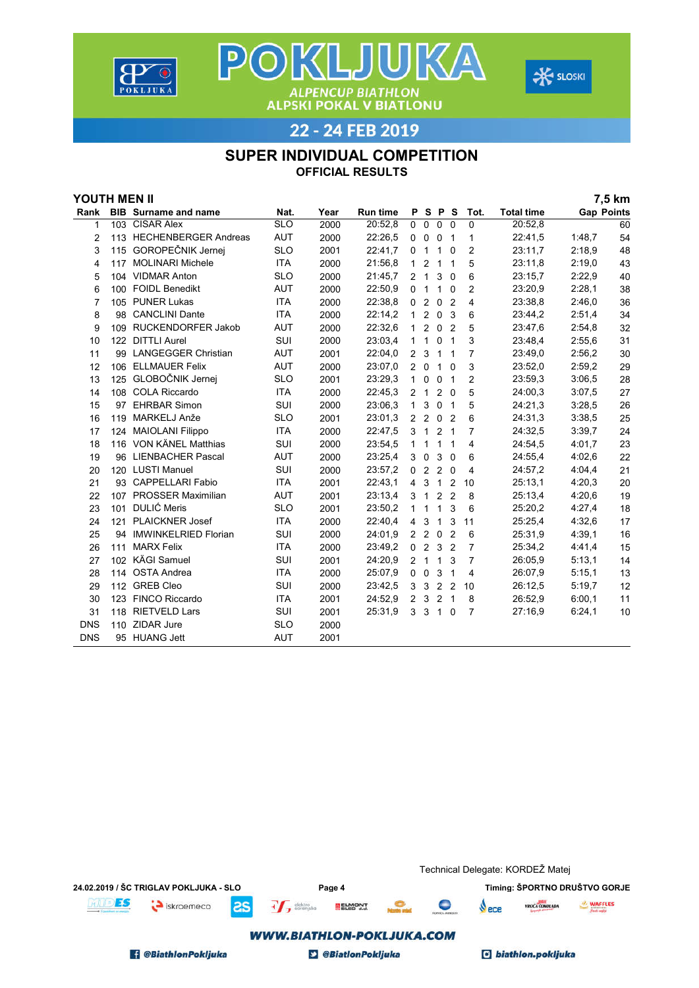





#### SUPER INDIVIDUAL COMPETITION

| YOUTH MEN II |     |                             |            |      |                 |                |                         |                |                          |                |                   |                   | 7,5 km |
|--------------|-----|-----------------------------|------------|------|-----------------|----------------|-------------------------|----------------|--------------------------|----------------|-------------------|-------------------|--------|
| Rank         |     | <b>BIB</b> Surname and name | Nat.       | Year | <b>Run time</b> | P              |                         | S P            | - S                      | Tot.           | <b>Total time</b> | <b>Gap Points</b> |        |
| 1            |     | 103 CISAR Alex              | <b>SLO</b> | 2000 | 20:52,8         | 0              | $\mathbf 0$             | $\mathbf 0$    | $\Omega$                 | 0              | 20:52,8           |                   | 60     |
| 2            |     | 113 HECHENBERGER Andreas    | <b>AUT</b> | 2000 | 22:26,5         | $\mathbf 0$    | $\mathbf 0$             | 0 <sub>1</sub> |                          | 1              | 22:41,5           | 1:48,7            | 54     |
| 3            |     | 115 GOROPEČNIK Jernej       | <b>SLO</b> | 2001 | 22:41,7         | 0              | $\overline{1}$          | $\mathbf{1}$   | $\Omega$                 | $\overline{2}$ | 23:11,7           | 2:18.9            | 48     |
| 4            |     | 117 MOLINARI Michele        | <b>ITA</b> | 2000 | 21:56,8         | $\mathbf{1}$   | $\overline{2}$          | $\mathbf{1}$   | $\overline{\phantom{0}}$ | 5              | 23:11,8           | 2:19.0            | 43     |
| 5            |     | 104 VIDMAR Anton            | <b>SLO</b> | 2000 | 21:45,7         |                | 2 <sub>1</sub>          | 3              | 0                        | 6              | 23:15.7           | 2:22,9            | 40     |
| 6            |     | 100 FOIDL Benedikt          | <b>AUT</b> | 2000 | 22:50,9         | 0              | $\mathbf{1}$            | 1              | $\Omega$                 | $\overline{2}$ | 23:20,9           | 2:28,1            | 38     |
| 7            |     | 105 PUNER Lukas             | <b>ITA</b> | 2000 | 22:38.8         | $\mathbf 0$    | 2                       | $\mathbf 0$    | $\overline{2}$           | 4              | 23:38.8           | 2:46,0            | 36     |
| 8            |     | 98 CANCLINI Dante           | <b>ITA</b> | 2000 | 22:14,2         | 1              | $\overline{2}$          | $\mathbf 0$    | - 3                      | 6              | 23:44,2           | 2:51,4            | 34     |
| 9            |     | 109 RUCKENDORFER Jakob      | <b>AUT</b> | 2000 | 22:32.6         | $\mathbf 1$    | $\overline{2}$          | $\mathbf 0$    | $\overline{2}$           | 5              | 23:47,6           | 2:54.8            | 32     |
| 10           |     | 122 DITTLI Aurel            | SUI        | 2000 | 23:03,4         | 1              | $\mathbf{1}$            | 0              | $\overline{1}$           | 3              | 23:48.4           | 2:55.6            | 31     |
| 11           | 99  | <b>LANGEGGER Christian</b>  | <b>AUT</b> | 2001 | 22:04,0         | $\overline{2}$ | 3                       | 1              | $\overline{1}$           | 7              | 23:49.0           | 2:56,2            | 30     |
| 12           |     | 106 ELLMAUER Felix          | <b>AUT</b> | 2000 | 23:07,0         | $\overline{2}$ | $\mathbf 0$             | $\mathbf{1}$   | $\mathbf 0$              | 3              | 23:52,0           | 2:59,2            | 29     |
| 13           | 125 | GLOBOČNIK Jernej            | <b>SLO</b> | 2001 | 23:29,3         | 1              | 0                       | 0              | $\overline{1}$           | 2              | 23:59,3           | 3:06,5            | 28     |
| 14           |     | 108 COLA Riccardo           | <b>ITA</b> | 2000 | 22:45,3         | 2              | $\overline{1}$          |                | $2\quad0$                | 5              | 24:00.3           | 3:07,5            | 27     |
| 15           |     | 97 EHRBAR Simon             | SUI        | 2000 | 23:06,3         | 1              | 3                       | $\mathbf 0$    | $\overline{1}$           | 5              | 24:21,3           | 3:28,5            | 26     |
| 16           | 119 | MARKELJ Anže                | <b>SLO</b> | 2001 | 23:01,3         |                | 2 <sub>2</sub>          | 0 <sub>2</sub> |                          | 6              | 24:31,3           | 3:38,5            | 25     |
| 17           |     | 124 MAIOLANI Filippo        | <b>ITA</b> | 2000 | 22:47,5         | 3              | $\overline{1}$          | 2              | $\overline{1}$           | $\overline{7}$ | 24:32,5           | 3:39,7            | 24     |
| 18           |     | 116 VON KÄNEL Matthias      | SUI        | 2000 | 23:54,5         | 1              | $\overline{1}$          | 1              | $\overline{1}$           | 4              | 24:54,5           | 4:01,7            | 23     |
| 19           |     | 96 LIENBACHER Pascal        | <b>AUT</b> | 2000 | 23:25,4         | 3              | $\overline{\mathbf{0}}$ | 3              | $\overline{0}$           | 6              | 24:55,4           | 4:02,6            | 22     |
| 20           |     | 120 LUSTI Manuel            | SUI        | 2000 | 23:57,2         | $\mathbf{0}$   | 2                       | 2              | $\Omega$                 | 4              | 24:57,2           | 4:04,4            | 21     |
| 21           |     | 93 CAPPELLARI Fabio         | <b>ITA</b> | 2001 | 22:43,1         | $\overline{4}$ | 3                       | $\overline{1}$ | $\overline{2}$           | 10             | 25:13,1           | 4:20,3            | 20     |
| 22           |     | 107 PROSSER Maximilian      | <b>AUT</b> | 2001 | 23:13,4         | 3              | $\overline{1}$          | 2              | $\overline{2}$           | 8              | 25:13,4           | 4:20,6            | 19     |
| 23           | 101 | <b>DULIĆ Meris</b>          | <b>SLO</b> | 2001 | 23:50,2         | $\mathbf{1}$   | 1                       | 1              | 3                        | 6              | 25:20,2           | 4:27,4            | 18     |
| 24           | 121 | <b>PLAICKNER Josef</b>      | <b>ITA</b> | 2000 | 22:40,4         | $\overline{4}$ | 3                       | 1              | 3                        | 11             | 25:25,4           | 4:32,6            | 17     |
| 25           | 94  | <b>IMWINKELRIED Florian</b> | SUI        | 2000 | 24:01,9         |                | 2 <sub>2</sub>          | $\mathbf 0$    | $\overline{2}$           | 6              | 25:31,9           | 4:39,1            | 16     |
| 26           | 111 | <b>MARX Felix</b>           | <b>ITA</b> | 2000 | 23:49,2         | $\mathbf 0$    | 2                       | 3              | $\overline{2}$           | $\overline{7}$ | 25:34,2           | 4:41,4            | 15     |
| 27           |     | 102 KÄGI Samuel             | SUI        | 2001 | 24:20,9         | $\overline{2}$ | $\overline{1}$          | 1              | 3                        | $\overline{7}$ | 26:05,9           | 5:13,1            | 14     |
| 28           |     | 114 OSTA Andrea             | <b>ITA</b> | 2000 | 25:07,9         | $\mathbf 0$    | $\mathbf 0$             | 3              | $\overline{1}$           | 4              | 26:07,9           | 5:15,1            | 13     |
| 29           |     | 112 GREB Cleo               | SUI        | 2000 | 23:42,5         | 3              | 3                       | $\overline{2}$ | $\overline{2}$           | 10             | 26:12,5           | 5:19,7            | 12     |
| 30           |     | 123 FINCO Riccardo          | <b>ITA</b> | 2001 | 24:52,9         | $\overline{2}$ | 3                       | $\overline{2}$ | $\overline{1}$           | 8              | 26:52,9           | 6:00,1            | 11     |
| 31           |     | 118 RIETVELD Lars           | SUI        | 2001 | 25:31,9         |                | 3 <sub>3</sub>          | $\overline{1}$ | $\mathbf 0$              | 7              | 27:16,9           | 6:24,1            | 10     |
| <b>DNS</b>   |     | 110 ZIDAR Jure              | <b>SLO</b> | 2000 |                 |                |                         |                |                          |                |                   |                   |        |
| <b>DNS</b>   |     | 95 HUANG Jett               | <b>AUT</b> | 2001 |                 |                |                         |                |                          |                |                   |                   |        |

|                                        |                                                               | Technical Delegate: KORDEŽ Matej                   |
|----------------------------------------|---------------------------------------------------------------|----------------------------------------------------|
| 24.02.2019 / ŠC TRIGLAV POKLJUKA - SLO | Page 4                                                        | Timing: ŠPORTNO DRUŠTVO GORJE                      |
| ES<br>iskroemeco<br><b>as</b>          | $+$ $\leftarrow$ elektro<br><b>ELMONT</b><br><b>North and</b> | WAFFLES<br>$\blacksquare$<br>VROČA ČOKOLADA<br>ece |
|                                        | <b>WWW.BIATHLON-POKLJUKA.COM</b>                              |                                                    |
| <b>8 @BiathlonPokljuka</b>             | <b>BiatlonPokljuka</b>                                        | c biathlon.pokljuka                                |